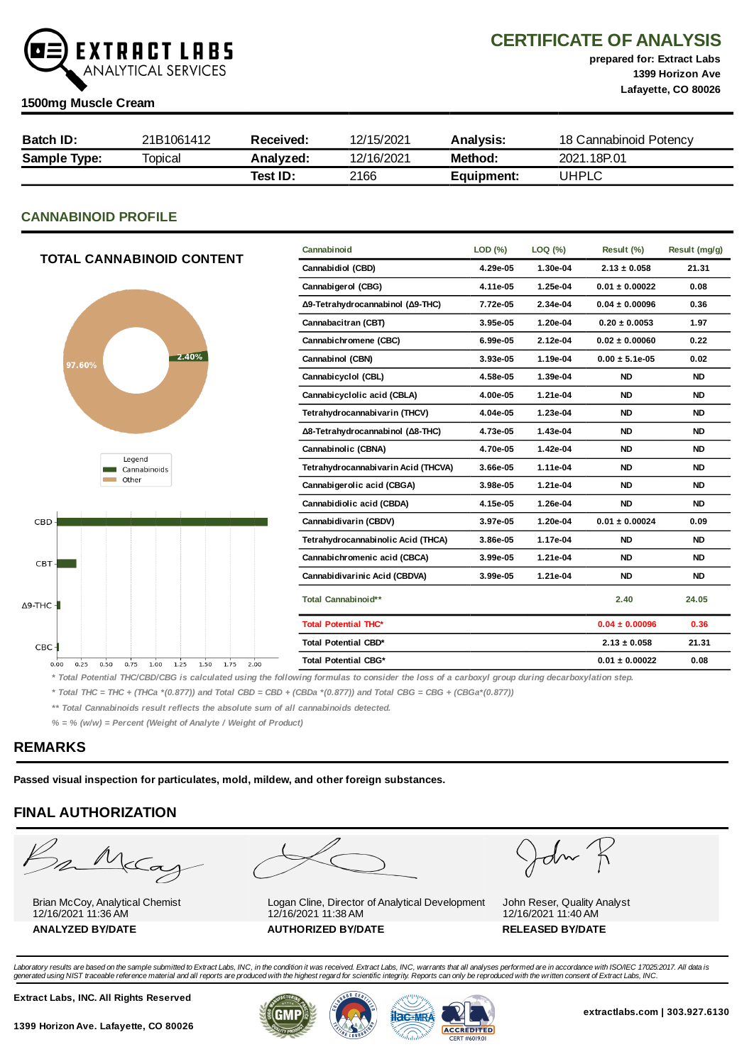

CERTIFICATE OF ANALYSIS

prepared for: Extract Labs 1399 Horizon Ave Lafayette, CO 80026

#### 1500mg Muscle Cream

| Batch ID:    | 21B1061412 | Received: | 12/15/2021 | Analvsis:  | 18 Cannabinoid Potency |
|--------------|------------|-----------|------------|------------|------------------------|
| Sample Type: | Topical    | Analyzed: | 12/16/2021 | Method:    | 2021.18P.01            |
|              |            | Test ID:  | 2166       | Equipment: | UHPLC                  |

# CANNABINOID PROFILE

|                                                                      | Cannabinoid                         | LOD(%)   | LOQ (%)  | Result (%)         | Result (mg/g) |
|----------------------------------------------------------------------|-------------------------------------|----------|----------|--------------------|---------------|
| <b>TOTAL CANNABINOID CONTENT</b>                                     | Cannabidiol (CBD)                   | 4.29e-05 | 1.30e-04 | $2.13 \pm 0.058$   | 21.31         |
|                                                                      | Cannabigerol (CBG)                  | 4.11e-05 | 1.25e-04 | $0.01 \pm 0.00022$ | 0.08          |
|                                                                      | Δ9-Tetrahydrocannabinol (Δ9-THC)    | 7.72e-05 | 2.34e-04 | $0.04 \pm 0.00096$ | 0.36          |
|                                                                      | Cannabacitran (CBT)                 | 3.95e-05 | 1.20e-04 | $0.20 \pm 0.0053$  | 1.97          |
|                                                                      | Cannabichromene (CBC)               | 6.99e-05 | 2.12e-04 | $0.02 \pm 0.00060$ | 0.22          |
| $-2.40%$<br>97.60%                                                   | Cannabinol (CBN)                    | 3.93e-05 | 1.19e-04 | $0.00 \pm 5.1e-05$ | 0.02          |
|                                                                      | Cannabicyclol (CBL)                 | 4.58e-05 | 1.39e-04 | <b>ND</b>          | <b>ND</b>     |
|                                                                      | Cannabicyclolic acid (CBLA)         | 4.00e-05 | 1.21e-04 | <b>ND</b>          | <b>ND</b>     |
|                                                                      | Tetrahydrocannabivarin (THCV)       | 4.04e-05 | 1.23e-04 | <b>ND</b>          | <b>ND</b>     |
|                                                                      | Δ8-Tetrahydrocannabinol (Δ8-THC)    | 4.73e-05 | 1.43e-04 | <b>ND</b>          | <b>ND</b>     |
|                                                                      | Cannabinolic (CBNA)                 | 4.70e-05 | 1.42e-04 | <b>ND</b>          | <b>ND</b>     |
| Legend<br>Cannabinoids                                               | Tetrahydrocannabivarin Acid (THCVA) | 3.66e-05 | 1.11e-04 | <b>ND</b>          | <b>ND</b>     |
| Other                                                                | Cannabigerolic acid (CBGA)          | 3.98e-05 | 1.21e-04 | <b>ND</b>          | <b>ND</b>     |
|                                                                      | Cannabidiolic acid (CBDA)           | 4.15e-05 | 1.26e-04 | <b>ND</b>          | <b>ND</b>     |
| CBD                                                                  | Cannabidivarin (CBDV)               | 3.97e-05 | 1.20e-04 | $0.01 \pm 0.00024$ | 0.09          |
|                                                                      | Tetrahydrocannabinolic Acid (THCA)  | 3.86e-05 | 1.17e-04 | <b>ND</b>          | <b>ND</b>     |
| CBT-                                                                 | Cannabichromenic acid (CBCA)        | 3.99e-05 | 1.21e-04 | <b>ND</b>          | <b>ND</b>     |
|                                                                      | Cannabidivarinic Acid (CBDVA)       | 3.99e-05 | 1.21e-04 | <b>ND</b>          | <b>ND</b>     |
| $\Delta$ 9-THC -                                                     | Total Cannabinoid**                 |          |          | 2.40               | 24.05         |
|                                                                      | <b>Total Potential THC*</b>         |          |          | $0.04 \pm 0.00096$ | 0.36          |
| $CBC-$                                                               | Total Potential CBD*                |          |          | $2.13 \pm 0.058$   | 21.31         |
| 0.50<br>0.75<br>1.00<br>1.25<br>1.50<br>1.75<br>2.00<br>0.00<br>0.25 | <b>Total Potential CBG*</b>         |          |          | $0.01 \pm 0.00022$ | 0.08          |
| $\cdots$<br><b>MILLALAMMIAM LAMA !</b><br>.<br>$ -$                  |                                     |          | .        |                    |               |

\* Total Potential THC/CBD/CBG is calculated using the following formulas to consider the loss of a carboxyl group during decarboxylation step.

\* Total THC = THC + (THCa \*(0.877)) and Total CBD = CBD + (CBDa \*(0.877)) and Total CBG = CBG + (CBGa\*(0.877))

\*\* Total Cannabinoids result reflects the absolute sum of all cannabinoids detected.

 $% =$  % (w/w) = Percent (Weight of Analyte / Weight of Product)

## REMARKS

Passed visual inspection for particulates, mold, mildew, and other foreign substances.

# FINAL AUTHORIZATION

Barba

Brian McCoy, Analytical Chemist 12/16/2021 11:36 AM



Logan Cline, Director of Analytical Development 12/16/2021 11:38 AM ANALYZED BY/DATE AUTHORIZED BY/DATE AUTHORIZED BY/DATE



John Reser, Quality Analyst 12/16/2021 11:40 AM

Laboratory results are based on the sample submitted to Extract Labs, INC, in the condition it was received. Extract Labs, INC, warrants that all analyses performed are in accordance with ISO/IEC 17025:2017. All data is<br>ge

Extract Labs, INC. All Rights Reserved





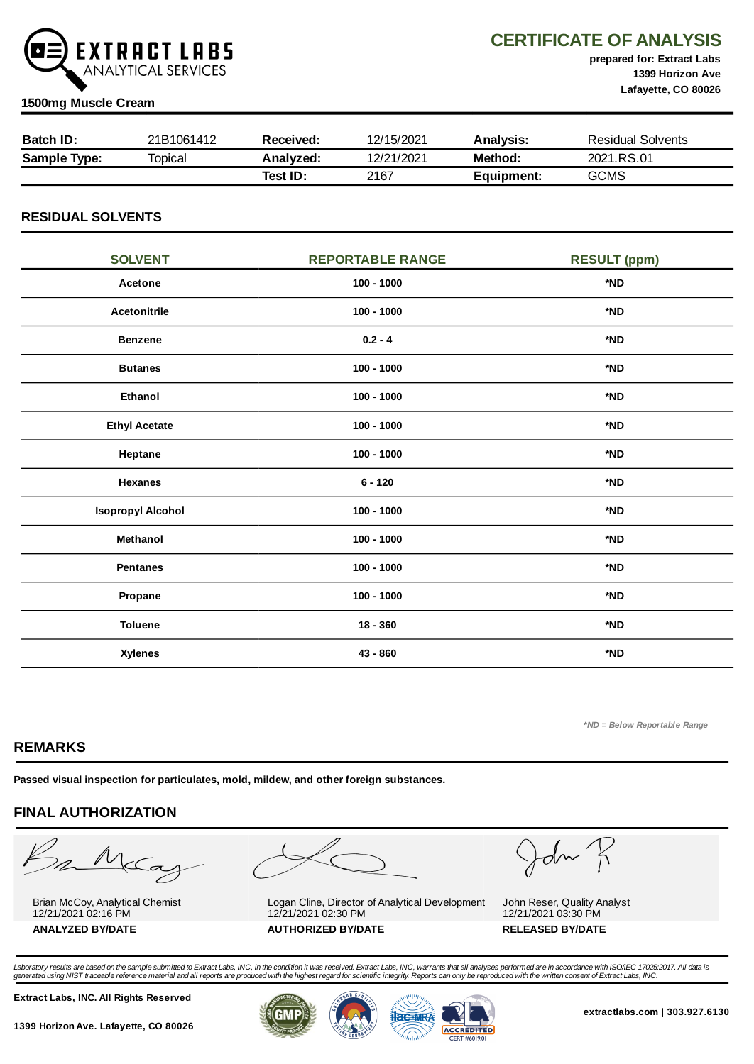

CERTIFICATE OF ANALYSIS

prepared for: Extract Labs 1399 Horizon Ave Lafayette, CO 80026

#### 1500mg Muscle Cream

| <b>Batch ID:</b>    | 21B1061412 | Received: | 12/15/2021 | Analysis:  | Residual Solvents |
|---------------------|------------|-----------|------------|------------|-------------------|
| <b>Sample Type:</b> | Topical    | Analyzed: | 12/21/2021 | Method:    | 2021.RS.01        |
|                     |            | Test ID:  | 2167       | Equipment: | <b>GCMS</b>       |

## RESIDUAL SOLVENTS

| <b>SOLVENT</b>           | <b>REPORTABLE RANGE</b> | <b>RESULT (ppm)</b> |
|--------------------------|-------------------------|---------------------|
| Acetone                  | $100 - 1000$            | *ND                 |
| Acetonitrile             | $100 - 1000$            | *ND                 |
| <b>Benzene</b>           | $0.2 - 4$               | *ND                 |
| <b>Butanes</b>           | $100 - 1000$            | *ND                 |
| Ethanol                  | $100 - 1000$            | *ND                 |
| <b>Ethyl Acetate</b>     | $100 - 1000$            | *ND                 |
| Heptane                  | $100 - 1000$            | *ND                 |
| <b>Hexanes</b>           | $6 - 120$               | *ND                 |
| <b>Isopropyl Alcohol</b> | $100 - 1000$            | *ND                 |
| Methanol                 | $100 - 1000$            | *ND                 |
| <b>Pentanes</b>          | $100 - 1000$            | *ND                 |
| Propane                  | $100 - 1000$            | *ND                 |
| <b>Toluene</b>           | $18 - 360$              | *ND                 |
| <b>Xylenes</b>           | 43 - 860                | *ND                 |

\*ND = Below Reportable Range

# REMARKS

Passed visual inspection for particulates, mold, mildew, and other foreign substances.

# FINAL AUTHORIZATION

Barba

Brian McCoy, Analytical Chemist 12/21/2021 02:16 PM ANALYZED BY/DATE AUTHORIZED BY/DATE AUTHORIZED BY/DATE



Logan Cline, Director of Analytical Development 12/21/2021 02:30 PM

John K

John Reser, Quality Analyst 12/21/2021 03:30 PM

Laboratory results are based on the sample submitted to Extract Labs, INC, in the condition it was received. Extract Labs, INC, warrants that all analyses performed are in accordance with ISO/IEC 17025:2017. All data is<br>ge

Extract Labs, INC. All Rights Reserved





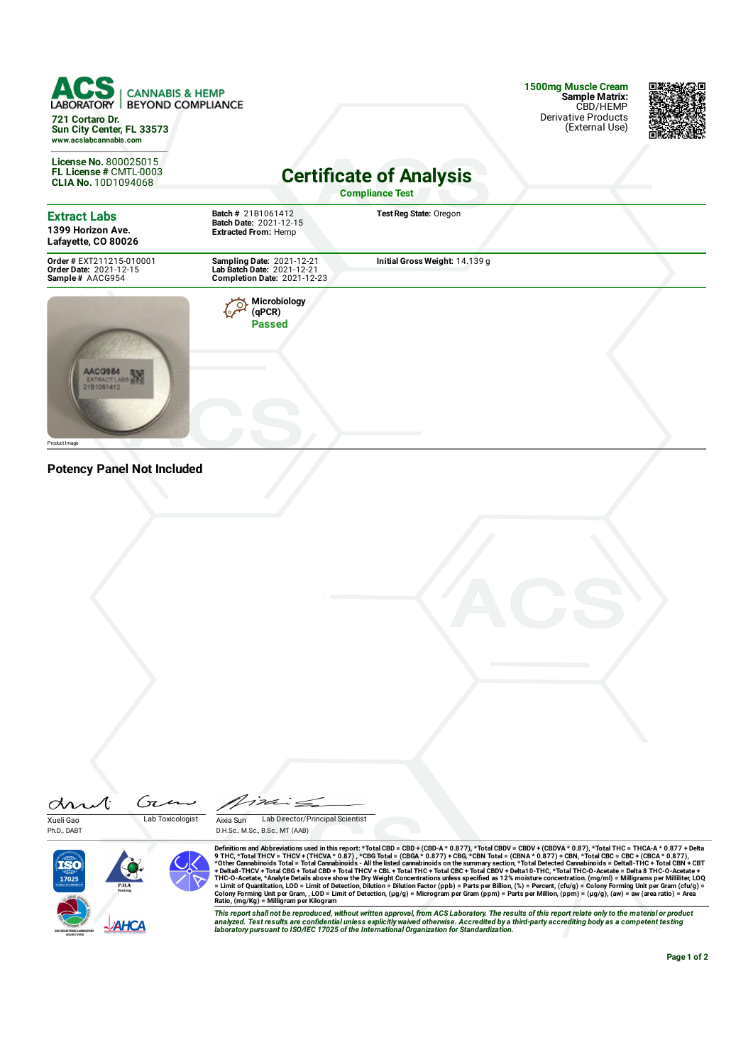**CANNABIS & HEMP BEYOND COMPLIANCE LABORAT 721 Cortaro Dr. Sun City Center, FL 33573 www.acslabcannabis.com**

**License No.** 800025015 **FL License #** CMTL-0003 **CLIA No.** 10D1094068 **1500mg Muscle Cream Sample Matrix:** CBD/HEMP Derivative Products (External Use)



# **Certificate of Analysis**

**Compliance Test**

| <b>Extract Labs</b><br>1399 Horizon Ave.<br>Lafayette, CO 80026       | <b>Batch # 21B1061412</b><br>Batch Date: 2021-12-15<br><b>Extracted From: Hemp</b>                   | Test Reg State: Oregon         |  |
|-----------------------------------------------------------------------|------------------------------------------------------------------------------------------------------|--------------------------------|--|
| Order # EXT211215-010001<br>Order Date: 2021-12-15<br>Sample# AACG954 | <b>Sampling Date: 2021-12-21</b><br>Lab Batch Date: 2021-12-21<br><b>Completion Date: 2021-12-23</b> | Initial Gross Weight: 14.139 g |  |
| AACG96                                                                | Microbiology<br>(qPCR)<br><b>Passed</b>                                                              |                                |  |

**Potency Panel Not Included**

Product Image

 $\sqrt{7}$  $\sigma$ Xueli Gao Lab Toxicologist

Aixia Sun Lab Director/Principal Scientist

D.H.Sc., M.Sc., B.Sc., MT (AAB)

Ph.D., DABT



Definitions and Abbreviations used in this report:\*Total CBD = CBD + (CBD-A\* 0.877), \*Total CBDV = CBDV + (CBDVA\* 0.87), \*Total CBC = CBC + (CBCA\* 0.877) + Pelta<br>9 THC, \*Total THC = THCA+ 1 CHC + THCA + 0.87), \*CBG Total

This report shall not be reproduced, without written approval, from ACS Laboratory. The results of this report relate only to the material or product<br>analyzed. Test results are confidential unless explicitly waived otherwi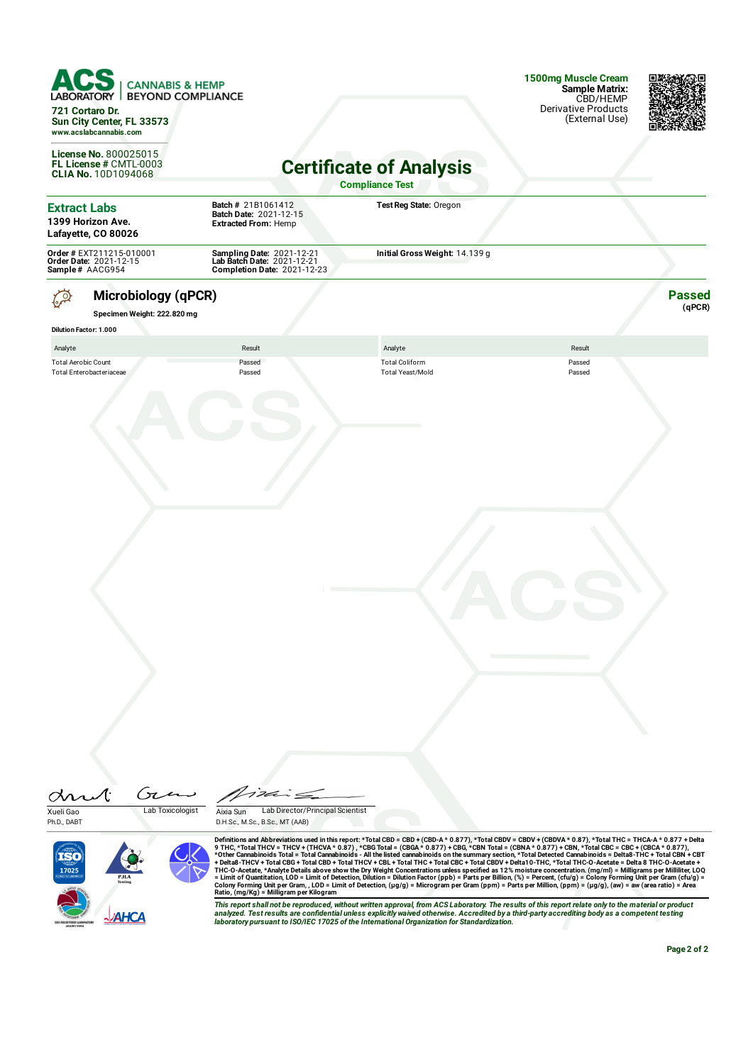|                                       | <b>CANNABIS &amp; HEMP</b><br><b>BEYOND COMPLIANCE</b><br>721 Cortaro Dr.<br>Sun City Center, FL 33573<br>www.acslabcannabis.com |                                                                                               |                                                                                                                                                                                                                                                                                                                                                                                                                                                                                                                                                                                                                                                                                                                                                                                                                                                                                                                                                                                                                                                                                                                                                                                                                                                                                                                                                                                                                                                                                                                                                                                           | 1500mg Muscle Cream<br>Sample Matrix:<br>CBD/HEMP<br><b>Derivative Products</b><br>(External Use) |                         |
|---------------------------------------|----------------------------------------------------------------------------------------------------------------------------------|-----------------------------------------------------------------------------------------------|-------------------------------------------------------------------------------------------------------------------------------------------------------------------------------------------------------------------------------------------------------------------------------------------------------------------------------------------------------------------------------------------------------------------------------------------------------------------------------------------------------------------------------------------------------------------------------------------------------------------------------------------------------------------------------------------------------------------------------------------------------------------------------------------------------------------------------------------------------------------------------------------------------------------------------------------------------------------------------------------------------------------------------------------------------------------------------------------------------------------------------------------------------------------------------------------------------------------------------------------------------------------------------------------------------------------------------------------------------------------------------------------------------------------------------------------------------------------------------------------------------------------------------------------------------------------------------------------|---------------------------------------------------------------------------------------------------|-------------------------|
|                                       | <b>License No. 800025015</b><br>FL License # CMTL-0003<br><b>CLIA No. 10D1094068</b>                                             |                                                                                               | <b>Certificate of Analysis</b><br><b>Compliance Test</b>                                                                                                                                                                                                                                                                                                                                                                                                                                                                                                                                                                                                                                                                                                                                                                                                                                                                                                                                                                                                                                                                                                                                                                                                                                                                                                                                                                                                                                                                                                                                  |                                                                                                   |                         |
| <b>Extract Labs</b>                   | 1399 Horizon Ave.<br>Lafayette, CO 80026                                                                                         | Batch # 21B1061412<br>Batch Date: 2021-12-15<br><b>Extracted From: Hemp</b>                   | Test Reg State: Oregon                                                                                                                                                                                                                                                                                                                                                                                                                                                                                                                                                                                                                                                                                                                                                                                                                                                                                                                                                                                                                                                                                                                                                                                                                                                                                                                                                                                                                                                                                                                                                                    |                                                                                                   |                         |
|                                       | Order # EXT211215-010001<br>Order Date: 2021-12-15<br>Sample# AACG954                                                            | Sampling Date: 2021-12-21<br>Lab Batch Date: 2021-12-21<br><b>Completion Date: 2021-12-23</b> | Initial Gross Weight: 14.139 g                                                                                                                                                                                                                                                                                                                                                                                                                                                                                                                                                                                                                                                                                                                                                                                                                                                                                                                                                                                                                                                                                                                                                                                                                                                                                                                                                                                                                                                                                                                                                            |                                                                                                   |                         |
|                                       | <b>Microbiology (qPCR)</b><br>Specimen Weight: 222.820 mg                                                                        |                                                                                               |                                                                                                                                                                                                                                                                                                                                                                                                                                                                                                                                                                                                                                                                                                                                                                                                                                                                                                                                                                                                                                                                                                                                                                                                                                                                                                                                                                                                                                                                                                                                                                                           |                                                                                                   | <b>Passed</b><br>(qPCR) |
|                                       | <b>Dilution Factor: 1.000</b>                                                                                                    |                                                                                               |                                                                                                                                                                                                                                                                                                                                                                                                                                                                                                                                                                                                                                                                                                                                                                                                                                                                                                                                                                                                                                                                                                                                                                                                                                                                                                                                                                                                                                                                                                                                                                                           |                                                                                                   |                         |
| Analyte<br><b>Total Aerobic Count</b> |                                                                                                                                  | Result                                                                                        | Analyte<br><b>Total Coliform</b>                                                                                                                                                                                                                                                                                                                                                                                                                                                                                                                                                                                                                                                                                                                                                                                                                                                                                                                                                                                                                                                                                                                                                                                                                                                                                                                                                                                                                                                                                                                                                          | Result                                                                                            |                         |
|                                       |                                                                                                                                  |                                                                                               |                                                                                                                                                                                                                                                                                                                                                                                                                                                                                                                                                                                                                                                                                                                                                                                                                                                                                                                                                                                                                                                                                                                                                                                                                                                                                                                                                                                                                                                                                                                                                                                           |                                                                                                   |                         |
| Xueli Gao                             | Gia<br>Lab Toxicologist                                                                                                          | 1 Ici<br>Lab Director/Principal Scientist<br>Aixia Sun                                        |                                                                                                                                                                                                                                                                                                                                                                                                                                                                                                                                                                                                                                                                                                                                                                                                                                                                                                                                                                                                                                                                                                                                                                                                                                                                                                                                                                                                                                                                                                                                                                                           |                                                                                                   |                         |
| Ph.D., DABT<br>17025                  | <b>PJLA</b><br><b>-VAHCA</b>                                                                                                     | D.H.Sc., M.Sc., B.Sc., MT (AAB)<br>Ratio, (mg/Kg) = Milligram per Kilogram                    | Definitions and Abbreviations used in this report: *Total CBD = CBD + (CBD-A * 0.877), *Total CBDV = CBDV + (CBDVA * 0.87), *Total THC = THCA-A * 0.877 + Delta<br>9 THC, *Total THCV = THCV + (THCVA * 0.87) , *CBG Total = (CBGA * 0.877) + CBG, *CBN Total = (CBNA * 0.877) + CBN, *Total CBC = CBC + (CBCA * 0.877),<br>*Other Cannabinoids Total = Total Cannabinoids - All the listed cannabinoids on the summary section, *Total Detected Cannabinoids = Delta8-THC + Total CBN + CBT<br>+ Delta8-THCV + Total CBG + Total CBD + Total THCV + CBL + Total THC + Total CBC + Total CBDV + Delta10-THC, *Total THC-O-Acetate = Delta 8 THC-O-Acetate +<br>THC-O-Acetate, *Analyte Details above show the Dry Weight Concentrations unless specified as 12% moisture concentration. (mq/ml) = Milligrams per Milliliter, LOQ<br>= Limit of Quantitation, LOD = Limit of Detection, Dilution = Dilution Factor (ppb) = Parts per Billion, (%) = Percent, (cfu/g) = Colony Forming Unit per Gram (cfu/g) =<br>Colony Forming Unit per Gram, , LOD = Limit of Detection, (µg/g) = Microgram per Gram (ppm) = Parts per Million, (ppm) = (µg/g), (aw) = aw (area ratio) = Area<br>This report shall not be reproduced, without written approval, from ACS Laboratory. The results of this report relate only to the material or product<br>analyzed. Test results are confidential unless explicitly waived otherwise. Accredited by a third-party accrediting body as a competent testing<br>laboratory pursuant to ISO/IEC 17025 of the International Organization for Standardization. |                                                                                                   |                         |